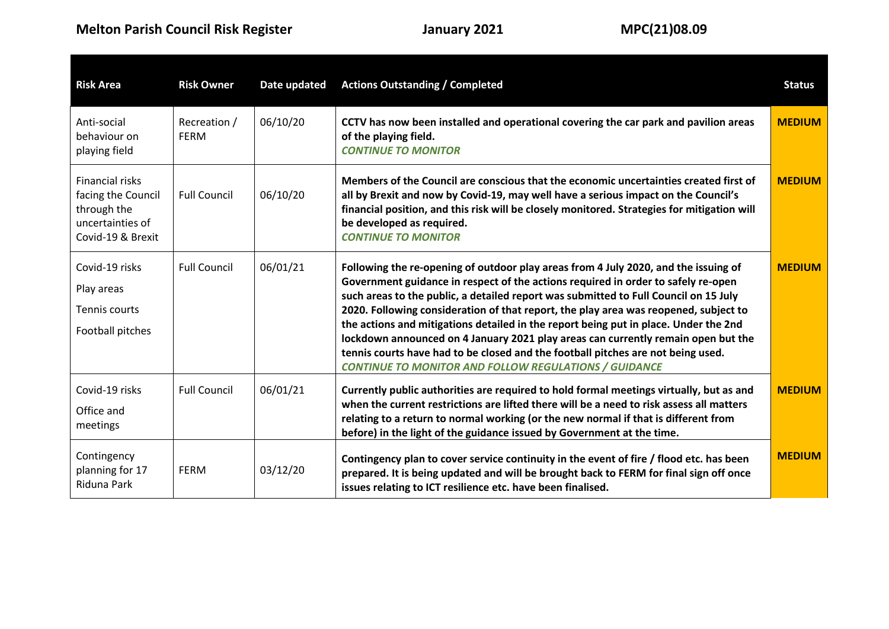| <b>Risk Area</b>                                                                                     | <b>Risk Owner</b>           | Date updated | <b>Actions Outstanding / Completed</b>                                                                                                                                                                                                                                                                                                                                                                                                                                                                                                                                                                                                                                                    | <b>Status</b> |
|------------------------------------------------------------------------------------------------------|-----------------------------|--------------|-------------------------------------------------------------------------------------------------------------------------------------------------------------------------------------------------------------------------------------------------------------------------------------------------------------------------------------------------------------------------------------------------------------------------------------------------------------------------------------------------------------------------------------------------------------------------------------------------------------------------------------------------------------------------------------------|---------------|
| Anti-social<br>behaviour on<br>playing field                                                         | Recreation /<br><b>FERM</b> | 06/10/20     | CCTV has now been installed and operational covering the car park and pavilion areas<br>of the playing field.<br><b>CONTINUE TO MONITOR</b>                                                                                                                                                                                                                                                                                                                                                                                                                                                                                                                                               | <b>MEDIUM</b> |
| <b>Financial risks</b><br>facing the Council<br>through the<br>uncertainties of<br>Covid-19 & Brexit | <b>Full Council</b>         | 06/10/20     | Members of the Council are conscious that the economic uncertainties created first of<br>all by Brexit and now by Covid-19, may well have a serious impact on the Council's<br>financial position, and this risk will be closely monitored. Strategies for mitigation will<br>be developed as required.<br><b>CONTINUE TO MONITOR</b>                                                                                                                                                                                                                                                                                                                                                     | <b>MEDIUM</b> |
| Covid-19 risks<br>Play areas<br>Tennis courts<br>Football pitches                                    | <b>Full Council</b>         | 06/01/21     | Following the re-opening of outdoor play areas from 4 July 2020, and the issuing of<br>Government guidance in respect of the actions required in order to safely re-open<br>such areas to the public, a detailed report was submitted to Full Council on 15 July<br>2020. Following consideration of that report, the play area was reopened, subject to<br>the actions and mitigations detailed in the report being put in place. Under the 2nd<br>lockdown announced on 4 January 2021 play areas can currently remain open but the<br>tennis courts have had to be closed and the football pitches are not being used.<br><b>CONTINUE TO MONITOR AND FOLLOW REGULATIONS / GUIDANCE</b> | <b>MEDIUM</b> |
| Covid-19 risks<br>Office and<br>meetings                                                             | <b>Full Council</b>         | 06/01/21     | Currently public authorities are required to hold formal meetings virtually, but as and<br>when the current restrictions are lifted there will be a need to risk assess all matters<br>relating to a return to normal working (or the new normal if that is different from<br>before) in the light of the guidance issued by Government at the time.                                                                                                                                                                                                                                                                                                                                      | <b>MEDIUM</b> |
| Contingency<br>planning for 17<br>Riduna Park                                                        | <b>FERM</b>                 | 03/12/20     | Contingency plan to cover service continuity in the event of fire / flood etc. has been<br>prepared. It is being updated and will be brought back to FERM for final sign off once<br>issues relating to ICT resilience etc. have been finalised.                                                                                                                                                                                                                                                                                                                                                                                                                                          | <b>MEDIUM</b> |